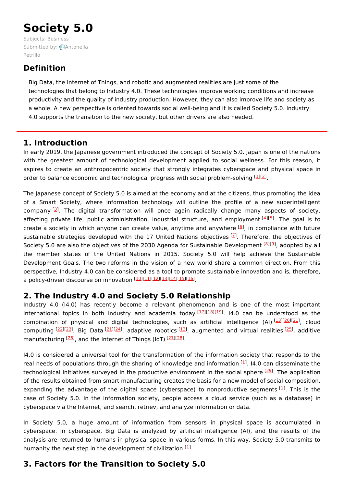# **Society 5.0**

Subjects: [Business](https://encyclopedia.pub/item/subject/312) [Submitted](https://sciprofiles.com/profile/123223) by: **Antonella** Petrillo

# **Definition**

Big Data, the Internet of Things, and robotic and augmented realities are just some of the technologies that belong to Industry 4.0. These technologies improve working conditions and increase productivity and the quality of industry production. However, they can also improve life and society as a whole. A new perspective is oriented towards social well-being and it is called Society 5.0. Industry 4.0 supports the transition to the new society, but other drivers are also needed.

## **1. Introduction**

In early 2019, the Japanese government introduced the concept of Society 5.0. Japan is one of the nations with the greatest amount of technological development applied to social wellness. For this reason, it aspires to create an anthropocentric society that strongly integrates cyberspace and physical space in order to balance economic and technological progress with social problem-solving [\[1](#page-2-0)][\[2](#page-2-1)].

The Japanese concept of Society 5.0 is aimed at the economy and at the citizens, thus promoting the idea of a Smart Society, where information technology will outline the profile of a new superintelligent company <sup>[[3](#page-2-2)]</sup>. The digital transformation will once again radically change many aspects of society, affecting private life, public administration, industrial structure, and employment <sup>[\[4](#page-2-3)][\[5](#page-2-4)]</sup>. The goal is to create a society in which anyone can create value, anytime and anywhere <sup>[\[6](#page-2-5)]</sup>, in compliance with future sustainable strategies developed with the 17 United Nations objectives  $[1]$ . Therefore, the objectives of Society 5.0 are also the objectives of the 2030 Agenda for Sustainable Development [\[8](#page-2-7)][[9](#page-2-8)], adopted by all the member states of the United Nations in 2015. Society 5.0 will help achieve the Sustainable Development Goals. The two reforms in the vision of a new world share a common direction. From this perspective, Industry 4.0 can be considered as a tool to promote sustainable innovation and is, therefore, a policy-driven discourse on innovation [[10\]](#page-2-9)[[11\]](#page-2-10)[[12\]](#page-2-11)[[13\]](#page-3-0)[[14\]](#page-3-1)[[15\]](#page-3-2)[[16\]](#page-3-3)

# **2. The Industry 4.0 and Society 5.0 Relationship**

Industry 4.0 (I4.0) has recently become a relevant phenomenon and is one of the most important international topics in both industry and academia today [[17](#page-3-4)][\[18](#page-3-5)][[19](#page-3-6)]. I4.0 can be understood as the combination of physical and digital technologies, such as artificial intelligence (AI) [\[13](#page-3-0)][\[20](#page-3-7)][\[21](#page-3-8)], cloud computing <sup>[\[22](#page-3-9)][\[23](#page-3-10)]</sup>, Big Data <sup>[\[21\]](#page-3-8)[[24](#page-3-11)]</sup>, adaptive robotics <sup>[\[13](#page-3-0)]</sup>, augmented and virtual realities <sup>[\[25](#page-3-12)]</sup>, additive manufacturing <sup>[\[26](#page-3-13)]</sup>, and the Internet of Things (IoT) <sup>[\[27](#page-3-14)][\[28](#page-3-15)]</sup>.

I4.0 is considered a universal tool for the transformation of the information society that responds to the real needs of populations through the sharing of knowledge and information [\[1](#page-2-0)]. 14.0 can disseminate the technological initiatives surveyed in the productive environment in the social sphere <sup>[\[29\]](#page-3-16)</sup>. The application of the results obtained from smart manufacturing creates the basis for a new model of social composition, expanding the advantage of the digital space (cyberspace) to nonproductive segments  $[1]$  $[1]$ . This is the case of Society 5.0. In the information society, people access a cloud service (such as a database) in cyberspace via the Internet, and search, retriev, and analyze information or data.

In Society 5.0, a huge amount of information from sensors in physical space is accumulated in cyberspace. In cyberspace, Big Data is analyzed by artificial intelligence (AI), and the results of the analysis are returned to humans in physical space in various forms. In this way, Society 5.0 transmits to humanity the next step in the development of civilization <sup>[\[1](#page-2-0)]</sup>.

# **3. Factors for the Transition to Society 5.0**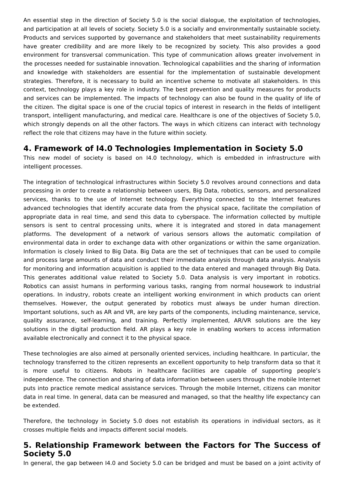An essential step in the direction of Society 5.0 is the social dialogue, the exploitation of technologies, and participation at all levels of society. Society 5.0 is a socially and environmentally sustainable society. Products and services supported by governance and stakeholders that meet sustainability requirements have greater credibility and are more likely to be recognized by society. This also provides a good environment for transversal communication. This type of communication allows greater involvement in the processes needed for sustainable innovation. Technological capabilities and the sharing of information and knowledge with stakeholders are essential for the implementation of sustainable development strategies. Therefore, it is necessary to build an incentive scheme to motivate all stakeholders. In this context, technology plays a key role in industry. The best prevention and quality measures for products and services can be implemented. The impacts of technology can also be found in the quality of life of the citizen. The digital space is one of the crucial topics of interest in research in the fields of intelligent transport, intelligent manufacturing, and medical care. Healthcare is one of the objectives of Society 5.0, which strongly depends on all the other factors. The ways in which citizens can interact with technology reflect the role that citizens may have in the future within society.

# **4. Framework of I4.0 Technologies Implementation in Society 5.0**

This new model of society is based on I4.0 technology, which is embedded in infrastructure with intelligent processes.

The integration of technological infrastructures within Society 5.0 revolves around connections and data processing in order to create a relationship between users, Big Data, robotics, sensors, and personalized services, thanks to the use of Internet technology. Everything connected to the Internet features advanced technologies that identify accurate data from the physical space, facilitate the compilation of appropriate data in real time, and send this data to cyberspace. The information collected by multiple sensors is sent to central processing units, where it is integrated and stored in data management platforms. The development of a network of various sensors allows the automatic compilation of environmental data in order to exchange data with other organizations or within the same organization. Information is closely linked to Big Data. Big Data are the set of techniques that can be used to compile and process large amounts of data and conduct their immediate analysis through data analysis. Analysis for monitoring and information acquisition is applied to the data entered and managed through Big Data. This generates additional value related to Society 5.0. Data analysis is very important in robotics. Robotics can assist humans in performing various tasks, ranging from normal housework to industrial operations. In industry, robots create an intelligent working environment in which products can orient themselves. However, the output generated by robotics must always be under human direction. Important solutions, such as AR and VR, are key parts of the components, including maintenance, service, quality assurance, self-learning, and training. Perfectly implemented, AR/VR solutions are the key solutions in the digital production field. AR plays a key role in enabling workers to access information available electronically and connect it to the physical space.

These technologies are also aimed at personally oriented services, including healthcare. In particular, the technology transferred to the citizen represents an excellent opportunity to help transform data so that it is more useful to citizens. Robots in healthcare facilities are capable of supporting people's independence. The connection and sharing of data information between users through the mobile Internet puts into practice remote medical assistance services. Through the mobile Internet, citizens can monitor data in real time. In general, data can be measured and managed, so that the healthy life expectancy can be extended.

Therefore, the technology in Society 5.0 does not establish its operations in individual sectors, as it crosses multiple fields and impacts different social models.

### **5. Relationship Framework between the Factors for The Success of Society 5.0**

In general, the gap between I4.0 and Society 5.0 can be bridged and must be based on a joint activity of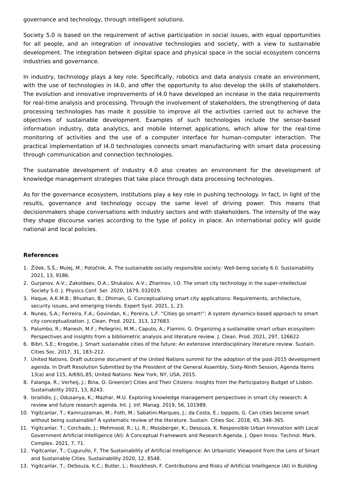governance and technology, through intelligent solutions.

Society 5.0 is based on the requirement of active participation in social issues, with equal opportunities for all people, and an integration of innovative technologies and society, with a view to sustainable development. The integration between digital space and physical space in the social ecosystem concerns industries and governance.

In industry, technology plays a key role. Specifically, robotics and data analysis create an environment, with the use of technologies in I4.0, and offer the opportunity to also develop the skills of stakeholders. The evolution and innovative improvements of I4.0 have developed an increase in the data requirements for real-time analysis and processing. Through the involvement of stakeholders, the strengthening of data processing technologies has made it possible to improve all the activities carried out to achieve the objectives of sustainable development. Examples of such technologies include the sensor-based information industry, data analytics, and mobile Internet applications, which allow for the real-time monitoring of activities and the use of a computer interface for human–computer interaction. The practical implementation of I4.0 technologies connects smart manufacturing with smart data processing through communication and connection technologies.

The sustainable development of Industry 4.0 also creates an environment for the development of knowledge management strategies that take place through data processing technologies.

As for the governance ecosystem, institutions play a key role in pushing technology. In fact, in light of the results, governance and technology occupy the same level of driving power. This means that decisionmakers shape conversations with industry sectors and with stakeholders. The intensity of the way they shape discourse varies according to the type of policy in place. An international policy will guide national and local policies.

### **References**

- <span id="page-2-0"></span>1. Žižek, S.Š.; Mulej, M.; Potočnik, A. The sustainable socially responsible society: Well-being society 6.0. Sustainability 2021, 13, 9186.
- <span id="page-2-1"></span>2. Gurjanov, A.V.; Zakoldaev, D.A.; Shukalov, A.V.; Zharinov, I.O. The smart city technology in the super-intellectual Society 5.0. J. Physics Conf. Ser. 2020, 1679, 032029.
- <span id="page-2-2"></span>3. Haque, A.K.M.B.; Bhushan, B.; Dhiman, G. Conceptualizing smart city applications: Requirements, architecture, security issues, and emerging trends. Expert Syst. 2021, 1, 23.
- <span id="page-2-3"></span>4. Nunes, S.A.; Ferreira, F.A.; Govindan, K.; Pereira, L.F. "Cities go smart!": A system dynamics-based approach to smart city conceptualization. J. Clean. Prod. 2021, 313, 127683.
- <span id="page-2-4"></span>5. Palumbo, R.; Manesh, M.F.; Pellegrini, M.M.; Caputo, A.; Flamini, G. Organizing a sustainable smart urban ecosystem: Perspectives and insights from a bibliometric analysis and literature review. J. Clean. Prod. 2021, 297, 126622.
- <span id="page-2-5"></span>6. Bibri, S.E.; Krogstie, J. Smart sustainable cities of the future: An extensive interdisciplinary literature review. Sustain. Cities Soc. 2017, 31, 183–212.
- <span id="page-2-6"></span>7. United Nations. Draft outcome document of the United Nations summit for the adoption of the post-2015 development agenda. In Draft Resolution Submitted by the President of the General Assembly, Sixty-Ninth Session, Agenda Items 13(a) and 115, A/69/L.85; United Nations: New York, NY, USA, 2015.
- <span id="page-2-7"></span>8. Falanga, R.; Verheij, J.; Bina, O. Green(er) Cities and Their Citizens: Insights from the Participatory Budget of Lisbon. Sustainability 2021, 13, 8243.
- <span id="page-2-8"></span>9. Israilidis, J.; Odusanya, K.; Mazhar, M.U. Exploring knowledge management perspectives in smart city research: A review and future research agenda. Int. J. Inf. Manag. 2019, 56, 101989.
- <span id="page-2-9"></span>10. Yigitcanlar, T.; Kamruzzaman, M.; Foth, M.; Sabatini-Marques, J.; da Costa, E.; Ioppolo, G. Can cities become smart without being sustainable? A systematic review of the literature. Sustain. Cities Soc. 2018, 45, 348–365.
- <span id="page-2-10"></span>11. Yigitcanlar, T.; Corchado, J.; Mehmood, R.; Li, R.; Mossberger, K.; Desouza, K. Responsible Urban Innovation with Local Government Artificial Intelligence (AI): A Conceptual Framework and Research Agenda. J. Open Innov. Technol. Mark. Complex. 2021, 7, 71.
- <span id="page-2-11"></span>12. Yigitcanlar, T.; Cugurullo, F. The Sustainability of Artificial Intelligence: An Urbanistic Viewpoint from the Lens of Smart and Sustainable Cities. Sustainability 2020, 12, 8548.
- 13. Yigitcanlar, T.; DeSouza, K.C.; Butler, L.; Roozkhosh, F. Contributions and Risks of Artificial Intelligence (AI) in Building